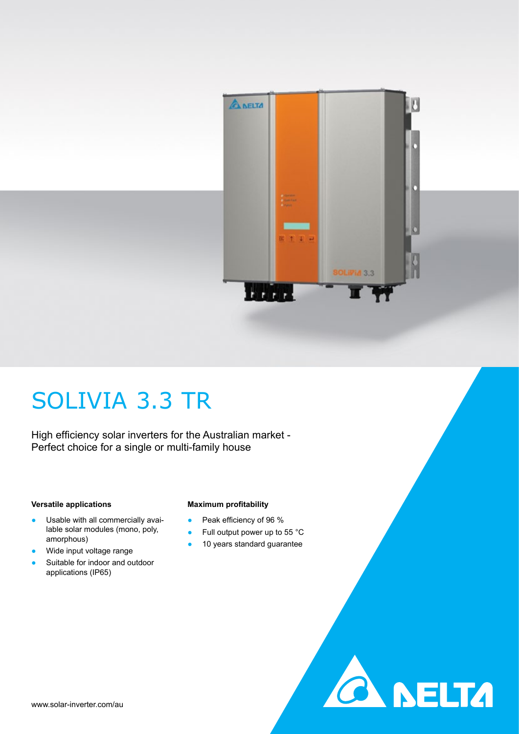

**A DELTA** 

## SOLIVIA 3.3 TR

High efficiency solar inverters for the Australian market - Perfect choice for a single or multi-family house

#### **Versatile applications**

- Usable with all commercially avai-
- lable solar modules (mono, poly, amorphous)
- Wide input voltage range
- Suitable for indoor and outdoor applications (IP65)

#### **Maximum profitability**

- Peak efficiency of 96 %
- Full output power up to 55 °C
- 10 years standard guarantee